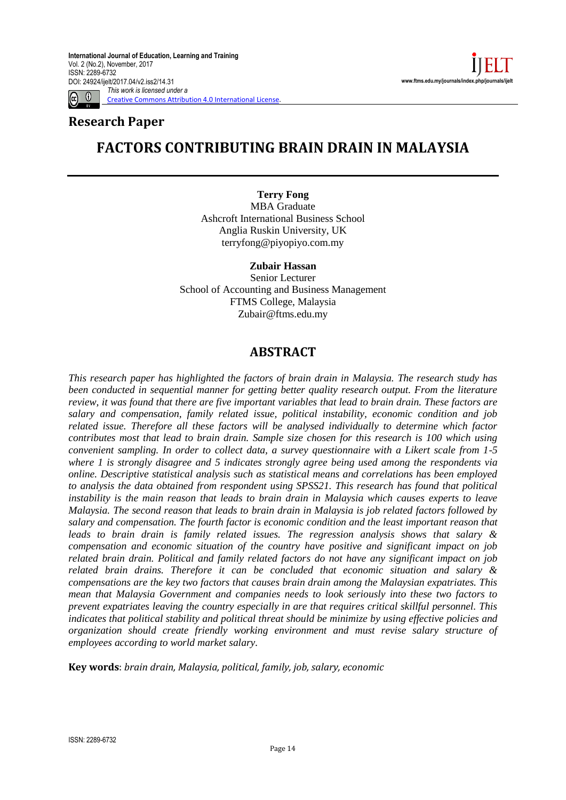[Creative Commons Attribution 4.0 International License.](http://creativecommons.org/licenses/by/4.0/)



## **Research Paper**

## **FACTORS CONTRIBUTING BRAIN DRAIN IN MALAYSIA**

**Terry Fong** MBA Graduate Ashcroft International Business School Anglia Ruskin University, UK terryfong@piyopiyo.com.my

**Zubair Hassan**

Senior Lecturer School of Accounting and Business Management FTMS College, Malaysia Zubair@ftms.edu.my

## **ABSTRACT**

*This research paper has highlighted the factors of brain drain in Malaysia. The research study has been conducted in sequential manner for getting better quality research output. From the literature review, it was found that there are five important variables that lead to brain drain. These factors are salary and compensation, family related issue, political instability, economic condition and job related issue. Therefore all these factors will be analysed individually to determine which factor contributes most that lead to brain drain. Sample size chosen for this research is 100 which using convenient sampling. In order to collect data, a survey questionnaire with a Likert scale from 1-5 where 1 is strongly disagree and 5 indicates strongly agree being used among the respondents via online. Descriptive statistical analysis such as statistical means and correlations has been employed to analysis the data obtained from respondent using SPSS21. This research has found that political instability is the main reason that leads to brain drain in Malaysia which causes experts to leave Malaysia. The second reason that leads to brain drain in Malaysia is job related factors followed by salary and compensation. The fourth factor is economic condition and the least important reason that leads to brain drain is family related issues. The regression analysis shows that salary & compensation and economic situation of the country have positive and significant impact on job related brain drain. Political and family related factors do not have any significant impact on job related brain drains. Therefore it can be concluded that economic situation and salary & compensations are the key two factors that causes brain drain among the Malaysian expatriates. This mean that Malaysia Government and companies needs to look seriously into these two factors to prevent expatriates leaving the country especially in are that requires critical skillful personnel. This indicates that political stability and political threat should be minimize by using effective policies and organization should create friendly working environment and must revise salary structure of employees according to world market salary.*

**Key words**: *brain drain, Malaysia, political, family, job, salary, economic*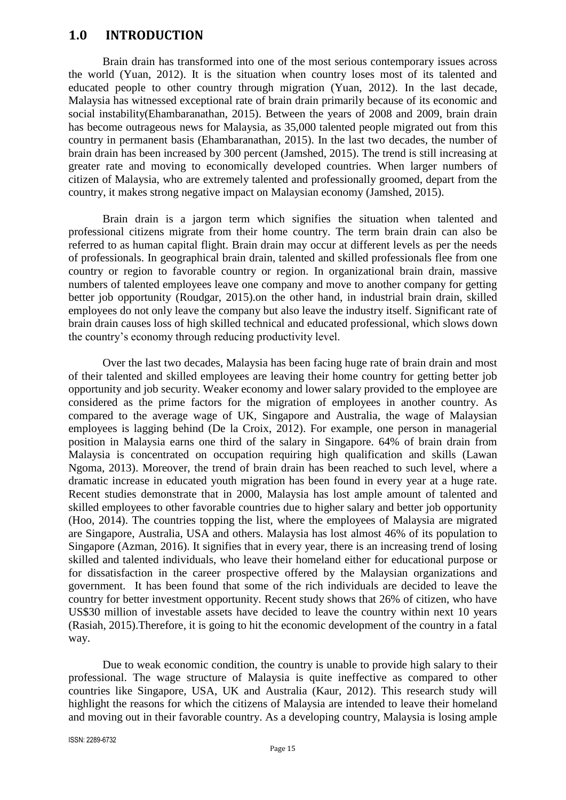#### **1.0 INTRODUCTION**

Brain drain has transformed into one of the most serious contemporary issues across the world (Yuan, 2012). It is the situation when country loses most of its talented and educated people to other country through migration (Yuan, 2012). In the last decade, Malaysia has witnessed exceptional rate of brain drain primarily because of its economic and social instability(Ehambaranathan, 2015). Between the years of 2008 and 2009, brain drain has become outrageous news for Malaysia, as 35,000 talented people migrated out from this country in permanent basis (Ehambaranathan, 2015). In the last two decades, the number of brain drain has been increased by 300 percent (Jamshed, 2015). The trend is still increasing at greater rate and moving to economically developed countries. When larger numbers of citizen of Malaysia, who are extremely talented and professionally groomed, depart from the country, it makes strong negative impact on Malaysian economy (Jamshed, 2015).

Brain drain is a jargon term which signifies the situation when talented and professional citizens migrate from their home country. The term brain drain can also be referred to as human capital flight. Brain drain may occur at different levels as per the needs of professionals. In geographical brain drain, talented and skilled professionals flee from one country or region to favorable country or region. In organizational brain drain, massive numbers of talented employees leave one company and move to another company for getting better job opportunity (Roudgar, 2015).on the other hand, in industrial brain drain, skilled employees do not only leave the company but also leave the industry itself. Significant rate of brain drain causes loss of high skilled technical and educated professional, which slows down the country's economy through reducing productivity level.

Over the last two decades, Malaysia has been facing huge rate of brain drain and most of their talented and skilled employees are leaving their home country for getting better job opportunity and job security. Weaker economy and lower salary provided to the employee are considered as the prime factors for the migration of employees in another country. As compared to the average wage of UK, Singapore and Australia, the wage of Malaysian employees is lagging behind (De la Croix, 2012). For example, one person in managerial position in Malaysia earns one third of the salary in Singapore. 64% of brain drain from Malaysia is concentrated on occupation requiring high qualification and skills (Lawan Ngoma, 2013). Moreover, the trend of brain drain has been reached to such level, where a dramatic increase in educated youth migration has been found in every year at a huge rate. Recent studies demonstrate that in 2000, Malaysia has lost ample amount of talented and skilled employees to other favorable countries due to higher salary and better job opportunity (Hoo, 2014). The countries topping the list, where the employees of Malaysia are migrated are Singapore, Australia, USA and others. Malaysia has lost almost 46% of its population to Singapore (Azman, 2016). It signifies that in every year, there is an increasing trend of losing skilled and talented individuals, who leave their homeland either for educational purpose or for dissatisfaction in the career prospective offered by the Malaysian organizations and government. It has been found that some of the rich individuals are decided to leave the country for better investment opportunity. Recent study shows that 26% of citizen, who have US\$30 million of investable assets have decided to leave the country within next 10 years (Rasiah, 2015).Therefore, it is going to hit the economic development of the country in a fatal way.

Due to weak economic condition, the country is unable to provide high salary to their professional. The wage structure of Malaysia is quite ineffective as compared to other countries like Singapore, USA, UK and Australia (Kaur, 2012). This research study will highlight the reasons for which the citizens of Malaysia are intended to leave their homeland and moving out in their favorable country. As a developing country, Malaysia is losing ample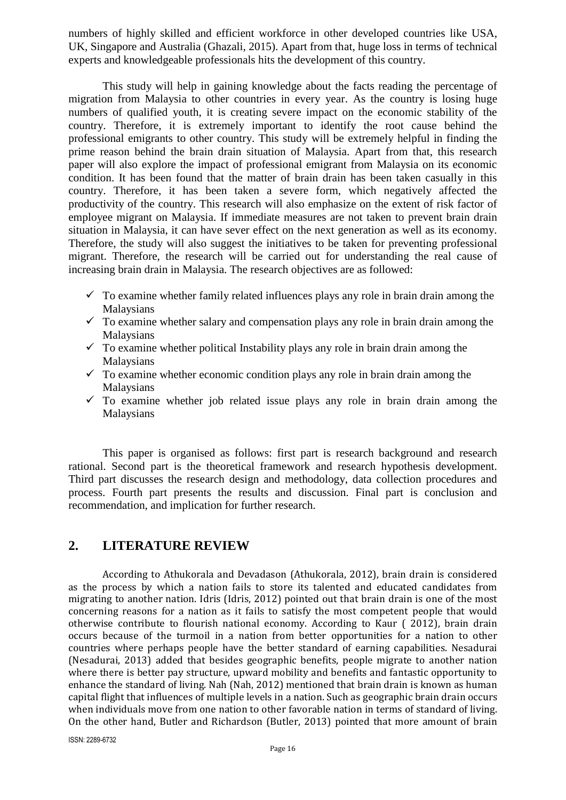numbers of highly skilled and efficient workforce in other developed countries like USA, UK, Singapore and Australia (Ghazali, 2015). Apart from that, huge loss in terms of technical experts and knowledgeable professionals hits the development of this country.

This study will help in gaining knowledge about the facts reading the percentage of migration from Malaysia to other countries in every year. As the country is losing huge numbers of qualified youth, it is creating severe impact on the economic stability of the country. Therefore, it is extremely important to identify the root cause behind the professional emigrants to other country. This study will be extremely helpful in finding the prime reason behind the brain drain situation of Malaysia. Apart from that, this research paper will also explore the impact of professional emigrant from Malaysia on its economic condition. It has been found that the matter of brain drain has been taken casually in this country. Therefore, it has been taken a severe form, which negatively affected the productivity of the country. This research will also emphasize on the extent of risk factor of employee migrant on Malaysia. If immediate measures are not taken to prevent brain drain situation in Malaysia, it can have sever effect on the next generation as well as its economy. Therefore, the study will also suggest the initiatives to be taken for preventing professional migrant. Therefore, the research will be carried out for understanding the real cause of increasing brain drain in Malaysia. The research objectives are as followed:

- $\checkmark$  To examine whether family related influences plays any role in brain drain among the **Malaysians**
- $\checkmark$  To examine whether salary and compensation plays any role in brain drain among the Malaysians
- $\checkmark$  To examine whether political Instability plays any role in brain drain among the **Malaysians**
- $\checkmark$  To examine whether economic condition plays any role in brain drain among the Malaysians
- $\checkmark$  To examine whether job related issue plays any role in brain drain among the Malaysians

This paper is organised as follows: first part is research background and research rational. Second part is the theoretical framework and research hypothesis development. Third part discusses the research design and methodology, data collection procedures and process. Fourth part presents the results and discussion. Final part is conclusion and recommendation, and implication for further research.

#### **2. LITERATURE REVIEW**

According to Athukorala and Devadason (Athukorala, 2012), brain drain is considered as the process by which a nation fails to store its talented and educated candidates from migrating to another nation. Idris (Idris, 2012) pointed out that brain drain is one of the most concerning reasons for a nation as it fails to satisfy the most competent people that would otherwise contribute to flourish national economy. According to Kaur ( 2012), brain drain occurs because of the turmoil in a nation from better opportunities for a nation to other countries where perhaps people have the better standard of earning capabilities. Nesadurai (Nesadurai, 2013) added that besides geographic benefits, people migrate to another nation where there is better pay structure, upward mobility and benefits and fantastic opportunity to enhance the standard of living. Nah (Nah, 2012) mentioned that brain drain is known as human capital flight that influences of multiple levels in a nation. Such as geographic brain drain occurs when individuals move from one nation to other favorable nation in terms of standard of living. On the other hand, Butler and Richardson (Butler, 2013) pointed that more amount of brain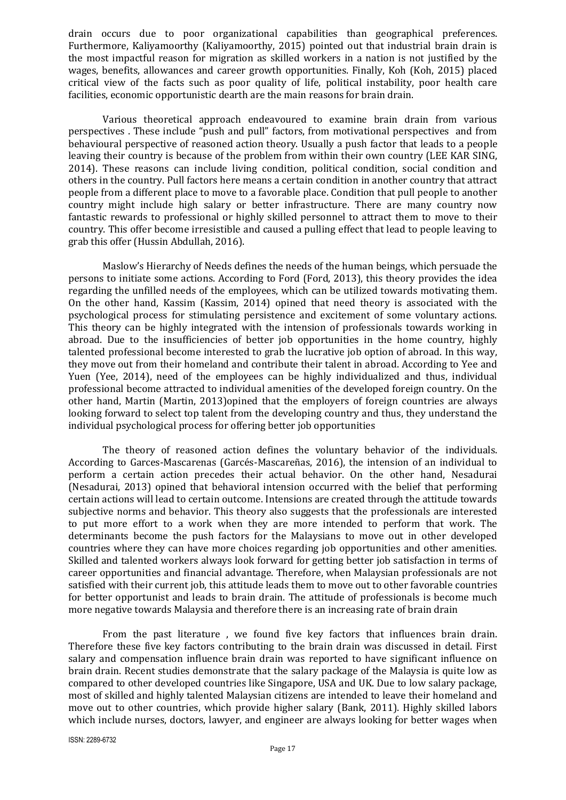drain occurs due to poor organizational capabilities than geographical preferences. Furthermore, Kaliyamoorthy (Kaliyamoorthy, 2015) pointed out that industrial brain drain is the most impactful reason for migration as skilled workers in a nation is not justified by the wages, benefits, allowances and career growth opportunities. Finally, Koh (Koh, 2015) placed critical view of the facts such as poor quality of life, political instability, poor health care facilities, economic opportunistic dearth are the main reasons for brain drain.

Various theoretical approach endeavoured to examine brain drain from various perspectives . These include "push and pull" factors, from motivational perspectives and from behavioural perspective of reasoned action theory. Usually a push factor that leads to a people leaving their country is because of the problem from within their own country (LEE KAR SING, 2014). These reasons can include living condition, political condition, social condition and others in the country. Pull factors here means a certain condition in another country that attract people from a different place to move to a favorable place. Condition that pull people to another country might include high salary or better infrastructure. There are many country now fantastic rewards to professional or highly skilled personnel to attract them to move to their country. This offer become irresistible and caused a pulling effect that lead to people leaving to grab this offer (Hussin Abdullah, 2016).

Maslow's Hierarchy of Needs defines the needs of the human beings, which persuade the persons to initiate some actions. According to Ford (Ford, 2013), this theory provides the idea regarding the unfilled needs of the employees, which can be utilized towards motivating them. On the other hand, Kassim (Kassim, 2014) opined that need theory is associated with the psychological process for stimulating persistence and excitement of some voluntary actions. This theory can be highly integrated with the intension of professionals towards working in abroad. Due to the insufficiencies of better job opportunities in the home country, highly talented professional become interested to grab the lucrative job option of abroad. In this way, they move out from their homeland and contribute their talent in abroad. According to Yee and Yuen (Yee, 2014), need of the employees can be highly individualized and thus, individual professional become attracted to individual amenities of the developed foreign country. On the other hand, Martin (Martin, 2013)opined that the employers of foreign countries are always looking forward to select top talent from the developing country and thus, they understand the individual psychological process for offering better job opportunities

The theory of reasoned action defines the voluntary behavior of the individuals. According to Garces-Mascarenas (Garcés-Mascareñas, 2016), the intension of an individual to perform a certain action precedes their actual behavior. On the other hand, Nesadurai (Nesadurai, 2013) opined that behavioral intension occurred with the belief that performing certain actions will lead to certain outcome. Intensions are created through the attitude towards subjective norms and behavior. This theory also suggests that the professionals are interested to put more effort to a work when they are more intended to perform that work. The determinants become the push factors for the Malaysians to move out in other developed countries where they can have more choices regarding job opportunities and other amenities. Skilled and talented workers always look forward for getting better job satisfaction in terms of career opportunities and financial advantage. Therefore, when Malaysian professionals are not satisfied with their current job, this attitude leads them to move out to other favorable countries for better opportunist and leads to brain drain. The attitude of professionals is become much more negative towards Malaysia and therefore there is an increasing rate of brain drain

From the past literature , we found five key factors that influences brain drain. Therefore these five key factors contributing to the brain drain was discussed in detail. First salary and compensation influence brain drain was reported to have significant influence on brain drain. Recent studies demonstrate that the salary package of the Malaysia is quite low as compared to other developed countries like Singapore, USA and UK. Due to low salary package, most of skilled and highly talented Malaysian citizens are intended to leave their homeland and move out to other countries, which provide higher salary (Bank, 2011). Highly skilled labors which include nurses, doctors, lawyer, and engineer are always looking for better wages when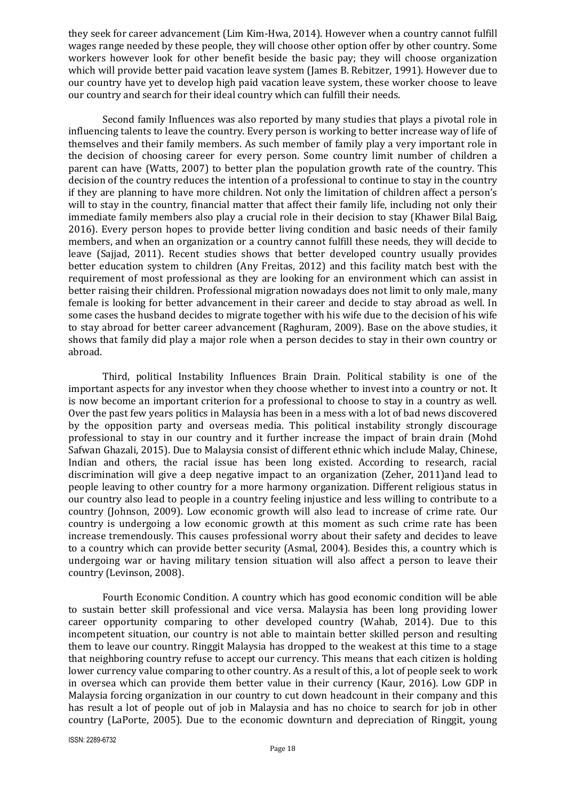they seek for career advancement (Lim Kim-Hwa, 2014). However when a country cannot fulfill wages range needed by these people, they will choose other option offer by other country. Some workers however look for other benefit beside the basic pay; they will choose organization which will provide better paid vacation leave system (James B. Rebitzer, 1991). However due to our country have yet to develop high paid vacation leave system, these worker choose to leave our country and search for their ideal country which can fulfill their needs.

Second family Influences was also reported by many studies that plays a pivotal role in influencing talents to leave the country. Every person is working to better increase way of life of themselves and their family members. As such member of family play a very important role in the decision of choosing career for every person. Some country limit number of children a parent can have (Watts, 2007) to better plan the population growth rate of the country. This decision of the country reduces the intention of a professional to continue to stay in the country if they are planning to have more children. Not only the limitation of children affect a person's will to stay in the country, financial matter that affect their family life, including not only their immediate family members also play a crucial role in their decision to stay (Khawer Bilal Baig, 2016). Every person hopes to provide better living condition and basic needs of their family members, and when an organization or a country cannot fulfill these needs, they will decide to leave (Sajjad, 2011). Recent studies shows that better developed country usually provides better education system to children (Any Freitas, 2012) and this facility match best with the requirement of most professional as they are looking for an environment which can assist in better raising their children. Professional migration nowadays does not limit to only male, many female is looking for better advancement in their career and decide to stay abroad as well. In some cases the husband decides to migrate together with his wife due to the decision of his wife to stay abroad for better career advancement (Raghuram, 2009). Base on the above studies, it shows that family did play a major role when a person decides to stay in their own country or abroad.

Third, political Instability Influences Brain Drain. Political stability is one of the important aspects for any investor when they choose whether to invest into a country or not. It is now become an important criterion for a professional to choose to stay in a country as well. Over the past few years politics in Malaysia has been in a mess with a lot of bad news discovered by the opposition party and overseas media. This political instability strongly discourage professional to stay in our country and it further increase the impact of brain drain (Mohd Safwan Ghazali, 2015). Due to Malaysia consist of different ethnic which include Malay, Chinese, Indian and others, the racial issue has been long existed. According to research, racial discrimination will give a deep negative impact to an organization (Zeher, 2011)and lead to people leaving to other country for a more harmony organization. Different religious status in our country also lead to people in a country feeling injustice and less willing to contribute to a country (Johnson, 2009). Low economic growth will also lead to increase of crime rate. Our country is undergoing a low economic growth at this moment as such crime rate has been increase tremendously. This causes professional worry about their safety and decides to leave to a country which can provide better security (Asmal, 2004). Besides this, a country which is undergoing war or having military tension situation will also affect a person to leave their country (Levinson, 2008).

Fourth Economic Condition. A country which has good economic condition will be able to sustain better skill professional and vice versa. Malaysia has been long providing lower career opportunity comparing to other developed country (Wahab, 2014). Due to this incompetent situation, our country is not able to maintain better skilled person and resulting them to leave our country. Ringgit Malaysia has dropped to the weakest at this time to a stage that neighboring country refuse to accept our currency. This means that each citizen is holding lower currency value comparing to other country. As a result of this, a lot of people seek to work in oversea which can provide them better value in their currency (Kaur, 2016). Low GDP in Malaysia forcing organization in our country to cut down headcount in their company and this has result a lot of people out of job in Malaysia and has no choice to search for job in other country (LaPorte, 2005). Due to the economic downturn and depreciation of Ringgit, young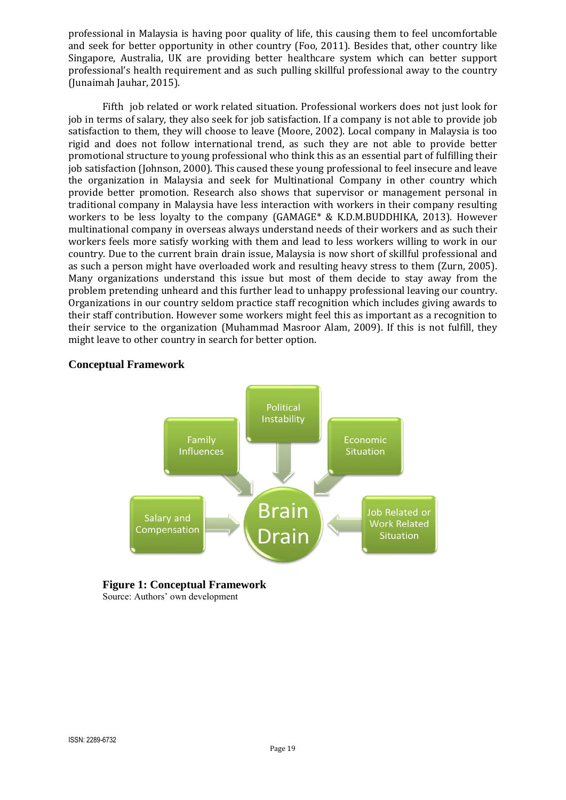professional in Malaysia is having poor quality of life, this causing them to feel uncomfortable and seek for better opportunity in other country (Foo, 2011). Besides that, other country like Singapore, Australia, UK are providing better healthcare system which can better support professional's health requirement and as such pulling skillful professional away to the country (Junaimah Jauhar, 2015).

Fifth job related or work related situation. Professional workers does not just look for job in terms of salary, they also seek for job satisfaction. If a company is not able to provide job satisfaction to them, they will choose to leave (Moore, 2002). Local company in Malaysia is too rigid and does not follow international trend, as such they are not able to provide better promotional structure to young professional who think this as an essential part of fulfilling their job satisfaction (Johnson, 2000). This caused these young professional to feel insecure and leave the organization in Malaysia and seek for Multinational Company in other country which provide better promotion. Research also shows that supervisor or management personal in traditional company in Malaysia have less interaction with workers in their company resulting workers to be less loyalty to the company (GAMAGE\* & K.D.M.BUDDHIKA, 2013). However multinational company in overseas always understand needs of their workers and as such their workers feels more satisfy working with them and lead to less workers willing to work in our country. Due to the current brain drain issue, Malaysia is now short of skillful professional and as such a person might have overloaded work and resulting heavy stress to them (Zurn, 2005). Many organizations understand this issue but most of them decide to stay away from the problem pretending unheard and this further lead to unhappy professional leaving our country. Organizations in our country seldom practice staff recognition which includes giving awards to their staff contribution. However some workers might feel this as important as a recognition to their service to the organization (Muhammad Masroor Alam, 2009). If this is not fulfill, they might leave to other country in search for better option.



#### **Conceptual Framework**

# **Figure 1: Conceptual Framework**

Source: Authors' own development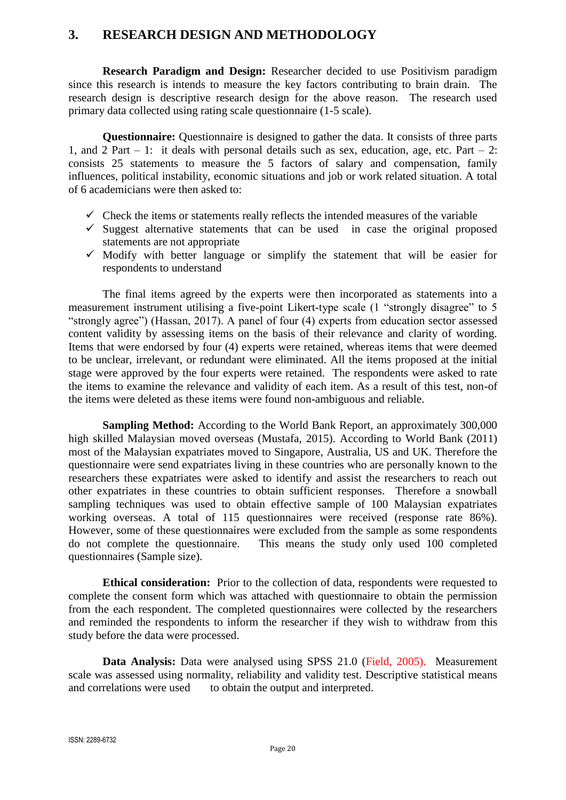## **3. RESEARCH DESIGN AND METHODOLOGY**

**Research Paradigm and Design:** Researcher decided to use Positivism paradigm since this research is intends to measure the key factors contributing to brain drain. The research design is descriptive research design for the above reason. The research used primary data collected using rating scale questionnaire (1-5 scale).

**Questionnaire:** Questionnaire is designed to gather the data. It consists of three parts 1, and 2 Part – 1: it deals with personal details such as sex, education, age, etc. Part – 2: consists 25 statements to measure the 5 factors of salary and compensation, family influences, political instability, economic situations and job or work related situation. A total of 6 academicians were then asked to:

- $\checkmark$  Check the items or statements really reflects the intended measures of the variable
- $\checkmark$  Suggest alternative statements that can be used in case the original proposed statements are not appropriate
- $\checkmark$  Modify with better language or simplify the statement that will be easier for respondents to understand

The final items agreed by the experts were then incorporated as statements into a measurement instrument utilising a five-point Likert-type scale (1 "strongly disagree" to 5 "strongly agree") (Hassan, 2017). A panel of four (4) experts from education sector assessed content validity by assessing items on the basis of their relevance and clarity of wording. Items that were endorsed by four (4) experts were retained, whereas items that were deemed to be unclear, irrelevant, or redundant were eliminated. All the items proposed at the initial stage were approved by the four experts were retained. The respondents were asked to rate the items to examine the relevance and validity of each item. As a result of this test, non-of the items were deleted as these items were found non-ambiguous and reliable.

**Sampling Method:** According to the World Bank Report, an approximately 300,000 high skilled Malaysian moved overseas (Mustafa, 2015). According to World Bank (2011) most of the Malaysian expatriates moved to Singapore, Australia, US and UK. Therefore the questionnaire were send expatriates living in these countries who are personally known to the researchers these expatriates were asked to identify and assist the researchers to reach out other expatriates in these countries to obtain sufficient responses. Therefore a snowball sampling techniques was used to obtain effective sample of 100 Malaysian expatriates working overseas. A total of 115 questionnaires were received (response rate 86%). However, some of these questionnaires were excluded from the sample as some respondents do not complete the questionnaire. This means the study only used 100 completed questionnaires (Sample size).

**Ethical consideration:** Prior to the collection of data, respondents were requested to complete the consent form which was attached with questionnaire to obtain the permission from the each respondent. The completed questionnaires were collected by the researchers and reminded the respondents to inform the researcher if they wish to withdraw from this study before the data were processed.

**Data Analysis:** Data were analysed using SPSS 21.0 (Field, 2005). Measurement scale was assessed using normality, reliability and validity test. Descriptive statistical means and correlations were used to obtain the output and interpreted.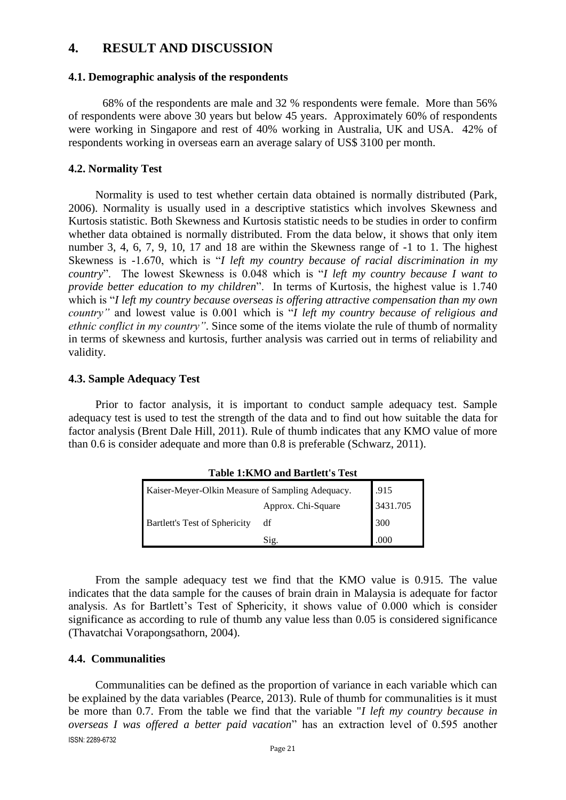## **4. RESULT AND DISCUSSION**

#### **4.1. Demographic analysis of the respondents**

68% of the respondents are male and 32 % respondents were female. More than 56% of respondents were above 30 years but below 45 years. Approximately 60% of respondents were working in Singapore and rest of 40% working in Australia, UK and USA. 42% of respondents working in overseas earn an average salary of US\$ 3100 per month.

#### **4.2. Normality Test**

Normality is used to test whether certain data obtained is normally distributed (Park, 2006). Normality is usually used in a descriptive statistics which involves Skewness and Kurtosis statistic. Both Skewness and Kurtosis statistic needs to be studies in order to confirm whether data obtained is normally distributed. From the data below, it shows that only item number 3, 4, 6, 7, 9, 10, 17 and 18 are within the Skewness range of  $-1$  to 1. The highest Skewness is -1.670, which is "*I left my country because of racial discrimination in my country*". The lowest Skewness is 0.048 which is "*I left my country because I want to provide better education to my children*". In terms of Kurtosis, the highest value is 1.740 which is "*I left my country because overseas is offering attractive compensation than my own country"* and lowest value is 0.001 which is "*I left my country because of religious and ethnic conflict in my country"*. Since some of the items violate the rule of thumb of normality in terms of skewness and kurtosis, further analysis was carried out in terms of reliability and validity.

#### **4.3. Sample Adequacy Test**

Prior to factor analysis, it is important to conduct sample adequacy test. Sample adequacy test is used to test the strength of the data and to find out how suitable the data for factor analysis (Brent Dale Hill, 2011). Rule of thumb indicates that any KMO value of more than 0.6 is consider adequate and more than 0.8 is preferable (Schwarz, 2011).

| Kaiser-Meyer-Olkin Measure of Sampling Adequacy. | .915               |          |
|--------------------------------------------------|--------------------|----------|
|                                                  | Approx. Chi-Square | 3431.705 |
| <b>Bartlett's Test of Sphericity</b>             | df                 | 300      |
|                                                  | Sig.               | .000     |

**Table 1:KMO and Bartlett's Test**

From the sample adequacy test we find that the KMO value is 0.915. The value indicates that the data sample for the causes of brain drain in Malaysia is adequate for factor analysis. As for Bartlett's Test of Sphericity, it shows value of 0.000 which is consider significance as according to rule of thumb any value less than 0.05 is considered significance (Thavatchai Vorapongsathorn, 2004).

#### **4.4. Communalities**

ISSN: 2289-6732 Communalities can be defined as the proportion of variance in each variable which can be explained by the data variables (Pearce, 2013). Rule of thumb for communalities is it must be more than 0.7. From the table we find that the variable "*I left my country because in overseas I was offered a better paid vacation*" has an extraction level of 0.595 another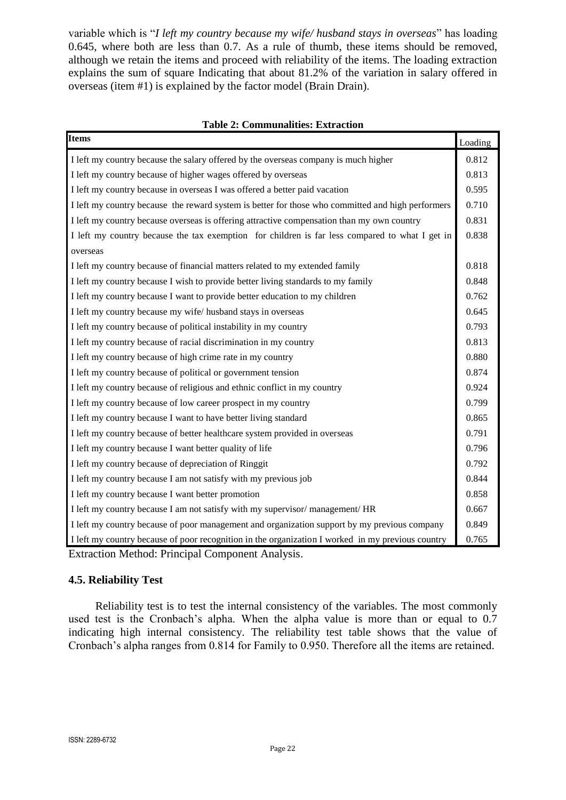variable which is "*I left my country because my wife/ husband stays in overseas*" has loading 0.645, where both are less than 0.7. As a rule of thumb, these items should be removed, although we retain the items and proceed with reliability of the items. The loading extraction explains the sum of square Indicating that about 81.2% of the variation in salary offered in overseas (item #1) is explained by the factor model (Brain Drain).

#### **Table 2: Communalities: Extraction**

| <b>Items</b>                                                                                      | Loading |
|---------------------------------------------------------------------------------------------------|---------|
| I left my country because the salary offered by the overseas company is much higher               | 0.812   |
| I left my country because of higher wages offered by overseas                                     | 0.813   |
| I left my country because in overseas I was offered a better paid vacation                        | 0.595   |
| I left my country because the reward system is better for those who committed and high performers | 0.710   |
| I left my country because overseas is offering attractive compensation than my own country        | 0.831   |
| I left my country because the tax exemption for children is far less compared to what I get in    | 0.838   |
| overseas                                                                                          |         |
| I left my country because of financial matters related to my extended family                      | 0.818   |
| I left my country because I wish to provide better living standards to my family                  | 0.848   |
| I left my country because I want to provide better education to my children                       | 0.762   |
| I left my country because my wife/ husband stays in overseas                                      | 0.645   |
| I left my country because of political instability in my country                                  | 0.793   |
| I left my country because of racial discrimination in my country                                  | 0.813   |
| I left my country because of high crime rate in my country                                        | 0.880   |
| I left my country because of political or government tension                                      | 0.874   |
| I left my country because of religious and ethnic conflict in my country                          | 0.924   |
| I left my country because of low career prospect in my country                                    | 0.799   |
| I left my country because I want to have better living standard                                   | 0.865   |
| I left my country because of better healthcare system provided in overseas                        | 0.791   |
| I left my country because I want better quality of life                                           | 0.796   |
| I left my country because of depreciation of Ringgit                                              | 0.792   |
| I left my country because I am not satisfy with my previous job                                   | 0.844   |
| I left my country because I want better promotion                                                 | 0.858   |
| I left my country because I am not satisfy with my supervisor/management/HR                       | 0.667   |
| I left my country because of poor management and organization support by my previous company      | 0.849   |
| I left my country because of poor recognition in the organization I worked in my previous country | 0.765   |

Extraction Method: Principal Component Analysis.

#### **4.5. Reliability Test**

Reliability test is to test the internal consistency of the variables. The most commonly used test is the Cronbach's alpha. When the alpha value is more than or equal to 0.7 indicating high internal consistency. The reliability test table shows that the value of Cronbach's alpha ranges from 0.814 for Family to 0.950. Therefore all the items are retained.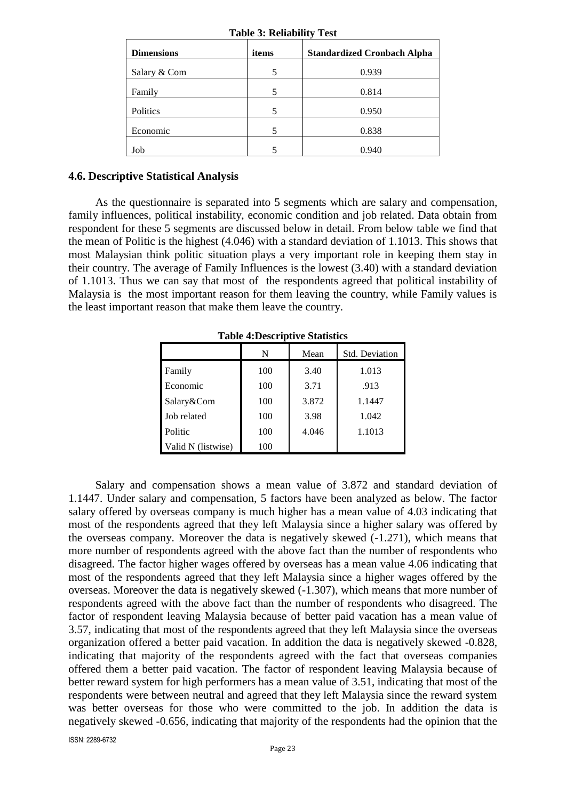| <b>Dimensions</b> | items | <b>Standardized Cronbach Alpha</b> |
|-------------------|-------|------------------------------------|
| Salary & Com      |       | 0.939                              |
| Family            |       | 0.814                              |
| Politics          |       | 0.950                              |
| Economic          |       | 0.838                              |
| Job               |       | 0.940                              |

**Table 3: Reliability Test**

#### **4.6. Descriptive Statistical Analysis**

As the questionnaire is separated into 5 segments which are salary and compensation, family influences, political instability, economic condition and job related. Data obtain from respondent for these 5 segments are discussed below in detail. From below table we find that the mean of Politic is the highest (4.046) with a standard deviation of 1.1013. This shows that most Malaysian think politic situation plays a very important role in keeping them stay in their country. The average of Family Influences is the lowest (3.40) with a standard deviation of 1.1013. Thus we can say that most of the respondents agreed that political instability of Malaysia is the most important reason for them leaving the country, while Family values is the least important reason that make them leave the country.

**Table 4:Descriptive Statistics**

|                    | N   | Mean  | <b>Std. Deviation</b> |
|--------------------|-----|-------|-----------------------|
| Family             | 100 | 3.40  | 1.013                 |
| Economic           | 100 | 3.71  | .913                  |
| Salary&Com         | 100 | 3.872 | 1.1447                |
| Job related        | 100 | 3.98  | 1.042                 |
| Politic            | 100 | 4.046 | 1.1013                |
| Valid N (listwise) | 100 |       |                       |

Salary and compensation shows a mean value of 3.872 and standard deviation of 1.1447. Under salary and compensation, 5 factors have been analyzed as below. The factor salary offered by overseas company is much higher has a mean value of 4.03 indicating that most of the respondents agreed that they left Malaysia since a higher salary was offered by the overseas company. Moreover the data is negatively skewed (-1.271), which means that more number of respondents agreed with the above fact than the number of respondents who disagreed. The factor higher wages offered by overseas has a mean value 4.06 indicating that most of the respondents agreed that they left Malaysia since a higher wages offered by the overseas. Moreover the data is negatively skewed (-1.307), which means that more number of respondents agreed with the above fact than the number of respondents who disagreed. The factor of respondent leaving Malaysia because of better paid vacation has a mean value of 3.57, indicating that most of the respondents agreed that they left Malaysia since the overseas organization offered a better paid vacation. In addition the data is negatively skewed -0.828, indicating that majority of the respondents agreed with the fact that overseas companies offered them a better paid vacation. The factor of respondent leaving Malaysia because of better reward system for high performers has a mean value of 3.51, indicating that most of the respondents were between neutral and agreed that they left Malaysia since the reward system was better overseas for those who were committed to the job. In addition the data is negatively skewed -0.656, indicating that majority of the respondents had the opinion that the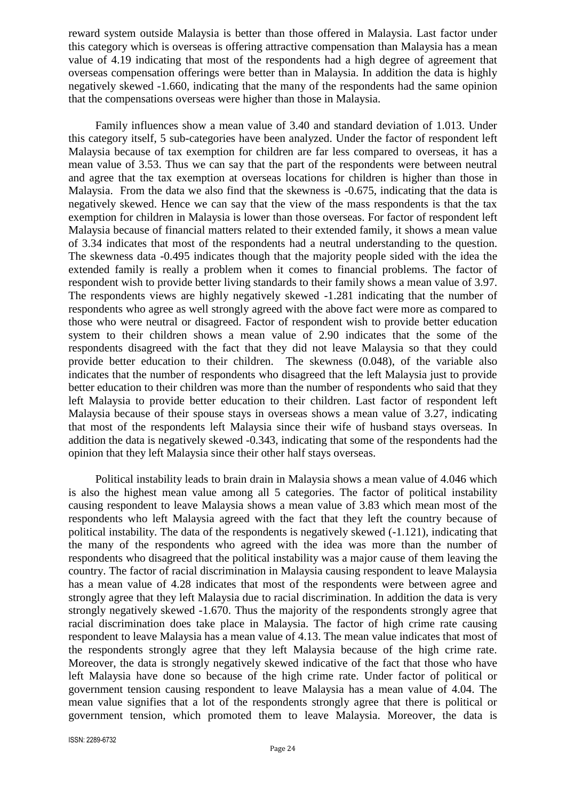reward system outside Malaysia is better than those offered in Malaysia. Last factor under this category which is overseas is offering attractive compensation than Malaysia has a mean value of 4.19 indicating that most of the respondents had a high degree of agreement that overseas compensation offerings were better than in Malaysia. In addition the data is highly negatively skewed -1.660, indicating that the many of the respondents had the same opinion that the compensations overseas were higher than those in Malaysia.

Family influences show a mean value of 3.40 and standard deviation of 1.013. Under this category itself, 5 sub-categories have been analyzed. Under the factor of respondent left Malaysia because of tax exemption for children are far less compared to overseas, it has a mean value of 3.53. Thus we can say that the part of the respondents were between neutral and agree that the tax exemption at overseas locations for children is higher than those in Malaysia. From the data we also find that the skewness is -0.675, indicating that the data is negatively skewed. Hence we can say that the view of the mass respondents is that the tax exemption for children in Malaysia is lower than those overseas. For factor of respondent left Malaysia because of financial matters related to their extended family, it shows a mean value of 3.34 indicates that most of the respondents had a neutral understanding to the question. The skewness data -0.495 indicates though that the majority people sided with the idea the extended family is really a problem when it comes to financial problems. The factor of respondent wish to provide better living standards to their family shows a mean value of 3.97. The respondents views are highly negatively skewed -1.281 indicating that the number of respondents who agree as well strongly agreed with the above fact were more as compared to those who were neutral or disagreed. Factor of respondent wish to provide better education system to their children shows a mean value of 2.90 indicates that the some of the respondents disagreed with the fact that they did not leave Malaysia so that they could provide better education to their children. The skewness (0.048), of the variable also indicates that the number of respondents who disagreed that the left Malaysia just to provide better education to their children was more than the number of respondents who said that they left Malaysia to provide better education to their children. Last factor of respondent left Malaysia because of their spouse stays in overseas shows a mean value of 3.27, indicating that most of the respondents left Malaysia since their wife of husband stays overseas. In addition the data is negatively skewed -0.343, indicating that some of the respondents had the opinion that they left Malaysia since their other half stays overseas.

Political instability leads to brain drain in Malaysia shows a mean value of 4.046 which is also the highest mean value among all 5 categories. The factor of political instability causing respondent to leave Malaysia shows a mean value of 3.83 which mean most of the respondents who left Malaysia agreed with the fact that they left the country because of political instability. The data of the respondents is negatively skewed (-1.121), indicating that the many of the respondents who agreed with the idea was more than the number of respondents who disagreed that the political instability was a major cause of them leaving the country. The factor of racial discrimination in Malaysia causing respondent to leave Malaysia has a mean value of 4.28 indicates that most of the respondents were between agree and strongly agree that they left Malaysia due to racial discrimination. In addition the data is very strongly negatively skewed -1.670. Thus the majority of the respondents strongly agree that racial discrimination does take place in Malaysia. The factor of high crime rate causing respondent to leave Malaysia has a mean value of 4.13. The mean value indicates that most of the respondents strongly agree that they left Malaysia because of the high crime rate. Moreover, the data is strongly negatively skewed indicative of the fact that those who have left Malaysia have done so because of the high crime rate. Under factor of political or government tension causing respondent to leave Malaysia has a mean value of 4.04. The mean value signifies that a lot of the respondents strongly agree that there is political or government tension, which promoted them to leave Malaysia. Moreover, the data is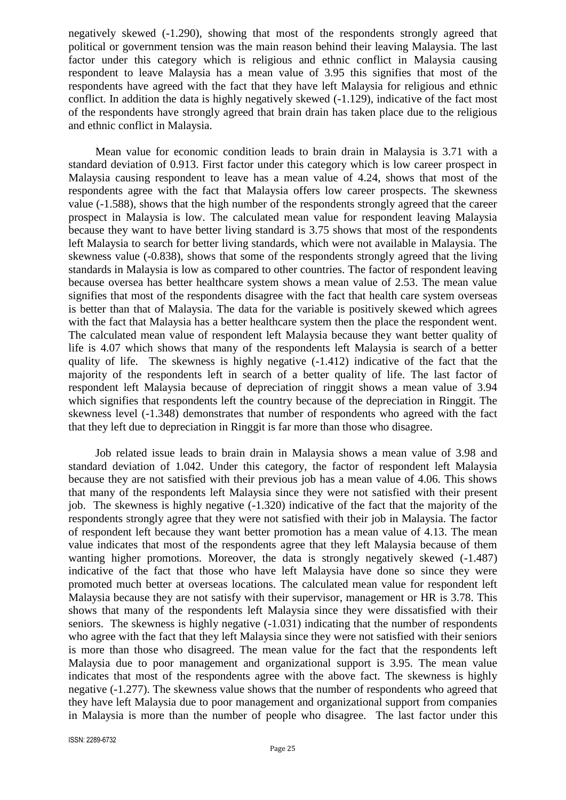negatively skewed (-1.290), showing that most of the respondents strongly agreed that political or government tension was the main reason behind their leaving Malaysia. The last factor under this category which is religious and ethnic conflict in Malaysia causing respondent to leave Malaysia has a mean value of 3.95 this signifies that most of the respondents have agreed with the fact that they have left Malaysia for religious and ethnic conflict. In addition the data is highly negatively skewed (-1.129), indicative of the fact most of the respondents have strongly agreed that brain drain has taken place due to the religious and ethnic conflict in Malaysia.

Mean value for economic condition leads to brain drain in Malaysia is 3.71 with a standard deviation of 0.913. First factor under this category which is low career prospect in Malaysia causing respondent to leave has a mean value of 4.24, shows that most of the respondents agree with the fact that Malaysia offers low career prospects. The skewness value (-1.588), shows that the high number of the respondents strongly agreed that the career prospect in Malaysia is low. The calculated mean value for respondent leaving Malaysia because they want to have better living standard is 3.75 shows that most of the respondents left Malaysia to search for better living standards, which were not available in Malaysia. The skewness value (-0.838), shows that some of the respondents strongly agreed that the living standards in Malaysia is low as compared to other countries. The factor of respondent leaving because oversea has better healthcare system shows a mean value of 2.53. The mean value signifies that most of the respondents disagree with the fact that health care system overseas is better than that of Malaysia. The data for the variable is positively skewed which agrees with the fact that Malaysia has a better healthcare system then the place the respondent went. The calculated mean value of respondent left Malaysia because they want better quality of life is 4.07 which shows that many of the respondents left Malaysia is search of a better quality of life. The skewness is highly negative (-1.412) indicative of the fact that the majority of the respondents left in search of a better quality of life. The last factor of respondent left Malaysia because of depreciation of ringgit shows a mean value of 3.94 which signifies that respondents left the country because of the depreciation in Ringgit. The skewness level (-1.348) demonstrates that number of respondents who agreed with the fact that they left due to depreciation in Ringgit is far more than those who disagree.

Job related issue leads to brain drain in Malaysia shows a mean value of 3.98 and standard deviation of 1.042. Under this category, the factor of respondent left Malaysia because they are not satisfied with their previous job has a mean value of 4.06. This shows that many of the respondents left Malaysia since they were not satisfied with their present job. The skewness is highly negative (-1.320) indicative of the fact that the majority of the respondents strongly agree that they were not satisfied with their job in Malaysia. The factor of respondent left because they want better promotion has a mean value of 4.13. The mean value indicates that most of the respondents agree that they left Malaysia because of them wanting higher promotions. Moreover, the data is strongly negatively skewed (-1.487) indicative of the fact that those who have left Malaysia have done so since they were promoted much better at overseas locations. The calculated mean value for respondent left Malaysia because they are not satisfy with their supervisor, management or HR is 3.78. This shows that many of the respondents left Malaysia since they were dissatisfied with their seniors. The skewness is highly negative (-1.031) indicating that the number of respondents who agree with the fact that they left Malaysia since they were not satisfied with their seniors is more than those who disagreed. The mean value for the fact that the respondents left Malaysia due to poor management and organizational support is 3.95. The mean value indicates that most of the respondents agree with the above fact. The skewness is highly negative (-1.277). The skewness value shows that the number of respondents who agreed that they have left Malaysia due to poor management and organizational support from companies in Malaysia is more than the number of people who disagree. The last factor under this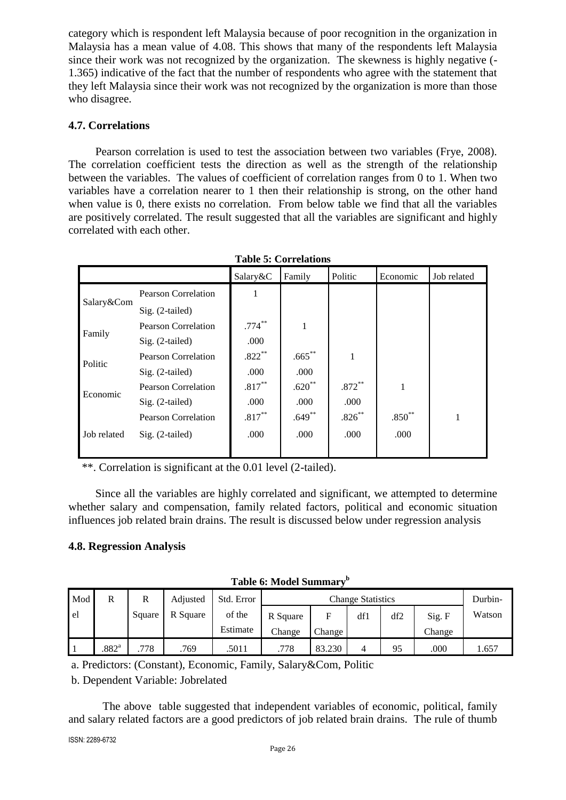category which is respondent left Malaysia because of poor recognition in the organization in Malaysia has a mean value of 4.08. This shows that many of the respondents left Malaysia since their work was not recognized by the organization. The skewness is highly negative (- 1.365) indicative of the fact that the number of respondents who agree with the statement that they left Malaysia since their work was not recognized by the organization is more than those who disagree.

#### **4.7. Correlations**

Pearson correlation is used to test the association between two variables (Frye, 2008). The correlation coefficient tests the direction as well as the strength of the relationship between the variables. The values of coefficient of correlation ranges from 0 to 1. When two variables have a correlation nearer to 1 then their relationship is strong, on the other hand when value is 0, there exists no correlation. From below table we find that all the variables are positively correlated. The result suggested that all the variables are significant and highly correlated with each other.

| LADIC J. COLLUMBUIL |                            |           |           |           |          |             |  |  |
|---------------------|----------------------------|-----------|-----------|-----------|----------|-------------|--|--|
|                     |                            | Salary&C  | Family    | Politic   | Economic | Job related |  |  |
|                     | <b>Pearson Correlation</b> | 1         |           |           |          |             |  |  |
| Salary&Com          | $Sig. (2-tailed)$          |           |           |           |          |             |  |  |
|                     | <b>Pearson Correlation</b> | $.774***$ | 1         |           |          |             |  |  |
| Family              | $Sig. (2-tailed)$          | .000      |           |           |          |             |  |  |
| Politic             | <b>Pearson Correlation</b> | $.822***$ | $.665***$ | 1         |          |             |  |  |
|                     | $Sig. (2-tailed)$          | .000      | .000      |           |          |             |  |  |
| Economic            | Pearson Correlation        | $.817***$ | $.620**$  | $.872***$ |          |             |  |  |
|                     | $Sig. (2-tailed)$          | .000      | .000      | .000      |          |             |  |  |
|                     | <b>Pearson Correlation</b> | $.817***$ | $.649**$  | $.826***$ | $.850**$ | 1           |  |  |
| Job related         | $Sig. (2-tailed)$          | .000      | .000      | .000      | .000     |             |  |  |
|                     |                            |           |           |           |          |             |  |  |

**Table 5: Correlations**

\*\*. Correlation is significant at the 0.01 level (2-tailed).

Since all the variables are highly correlated and significant, we attempted to determine whether salary and compensation, family related factors, political and economic situation influences job related brain drains. The result is discussed below under regression analysis

#### **4.8. Regression Analysis**

|  | Table 6: Model Summarv <sup>b</sup> |  |
|--|-------------------------------------|--|
|  |                                     |  |

| Mod  |                   | R      | Adjusted | Std. Error | <b>Change Statistics</b> |        |     |     | Durbin- |        |
|------|-------------------|--------|----------|------------|--------------------------|--------|-----|-----|---------|--------|
| l el |                   | Square | R Square | of the     | R Square                 |        | df1 | df2 | Sig. F  | Watson |
|      |                   |        |          | Estimate   | Change                   | Change |     |     | Change  |        |
|      | .882 <sup>a</sup> | 778    | .769     | .5011      | .778                     | 83.230 |     | 95  | .000    | 1.657  |

a. Predictors: (Constant), Economic, Family, Salary&Com, Politic

b. Dependent Variable: Jobrelated

The above table suggested that independent variables of economic, political, family and salary related factors are a good predictors of job related brain drains. The rule of thumb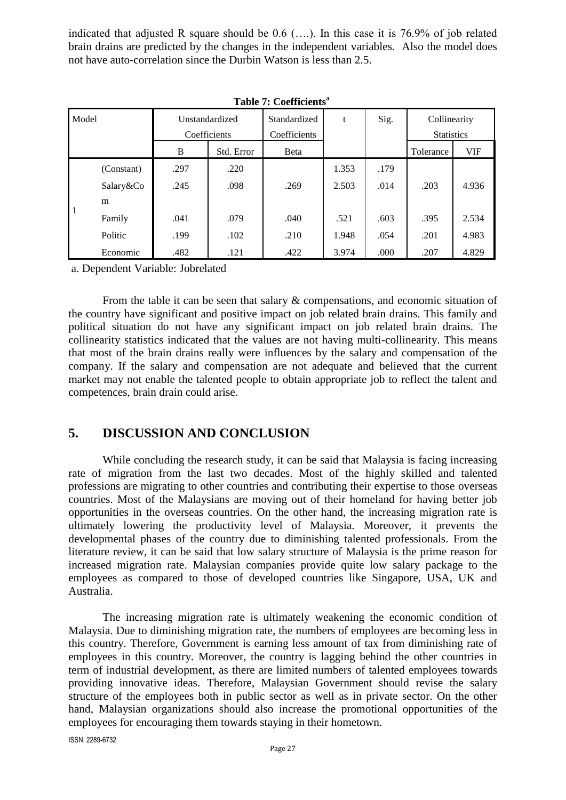indicated that adjusted R square should be 0.6 (….). In this case it is 76.9% of job related brain drains are predicted by the changes in the independent variables. Also the model does not have auto-correlation since the Durbin Watson is less than 2.5.

|              | тимте на составления |                                |            |                              |       |      |                                   |            |
|--------------|----------------------|--------------------------------|------------|------------------------------|-------|------|-----------------------------------|------------|
| Model        |                      | Unstandardized<br>Coefficients |            | Standardized<br>Coefficients | t     | Sig. | Collinearity<br><b>Statistics</b> |            |
|              |                      | B                              | Std. Error | Beta                         |       |      | Tolerance                         | <b>VIF</b> |
|              | (Constant)           | .297                           | .220       |                              | 1.353 | .179 |                                   |            |
|              | Salary&Co<br>m       | .245                           | .098       | .269                         | 2.503 | .014 | .203                              | 4.936      |
| $\mathbf{1}$ | Family               | .041                           | .079       | .040                         | .521  | .603 | .395                              | 2.534      |
|              | Politic              | .199                           | .102       | .210                         | 1.948 | .054 | .201                              | 4.983      |
|              | Economic             | .482                           | .121       | .422                         | 3.974 | .000 | .207                              | 4.829      |

a. Dependent Variable: Jobrelated

From the table it can be seen that salary & compensations, and economic situation of the country have significant and positive impact on job related brain drains. This family and political situation do not have any significant impact on job related brain drains. The collinearity statistics indicated that the values are not having multi-collinearity. This means that most of the brain drains really were influences by the salary and compensation of the company. If the salary and compensation are not adequate and believed that the current market may not enable the talented people to obtain appropriate job to reflect the talent and competences, brain drain could arise.

## **5. DISCUSSION AND CONCLUSION**

While concluding the research study, it can be said that Malaysia is facing increasing rate of migration from the last two decades. Most of the highly skilled and talented professions are migrating to other countries and contributing their expertise to those overseas countries. Most of the Malaysians are moving out of their homeland for having better job opportunities in the overseas countries. On the other hand, the increasing migration rate is ultimately lowering the productivity level of Malaysia. Moreover, it prevents the developmental phases of the country due to diminishing talented professionals. From the literature review, it can be said that low salary structure of Malaysia is the prime reason for increased migration rate. Malaysian companies provide quite low salary package to the employees as compared to those of developed countries like Singapore, USA, UK and Australia.

The increasing migration rate is ultimately weakening the economic condition of Malaysia. Due to diminishing migration rate, the numbers of employees are becoming less in this country. Therefore, Government is earning less amount of tax from diminishing rate of employees in this country. Moreover, the country is lagging behind the other countries in term of industrial development, as there are limited numbers of talented employees towards providing innovative ideas. Therefore, Malaysian Government should revise the salary structure of the employees both in public sector as well as in private sector. On the other hand, Malaysian organizations should also increase the promotional opportunities of the employees for encouraging them towards staying in their hometown.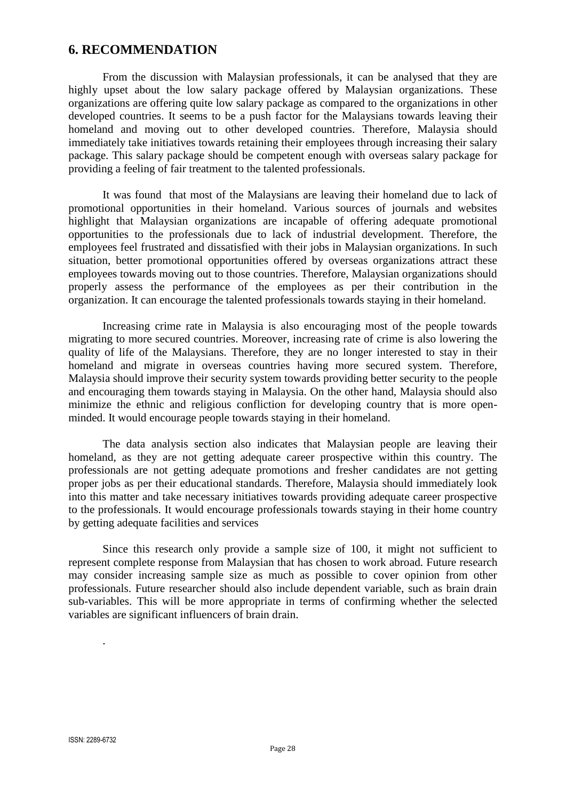### **6. RECOMMENDATION**

From the discussion with Malaysian professionals, it can be analysed that they are highly upset about the low salary package offered by Malaysian organizations. These organizations are offering quite low salary package as compared to the organizations in other developed countries. It seems to be a push factor for the Malaysians towards leaving their homeland and moving out to other developed countries. Therefore, Malaysia should immediately take initiatives towards retaining their employees through increasing their salary package. This salary package should be competent enough with overseas salary package for providing a feeling of fair treatment to the talented professionals.

It was found that most of the Malaysians are leaving their homeland due to lack of promotional opportunities in their homeland. Various sources of journals and websites highlight that Malaysian organizations are incapable of offering adequate promotional opportunities to the professionals due to lack of industrial development. Therefore, the employees feel frustrated and dissatisfied with their jobs in Malaysian organizations. In such situation, better promotional opportunities offered by overseas organizations attract these employees towards moving out to those countries. Therefore, Malaysian organizations should properly assess the performance of the employees as per their contribution in the organization. It can encourage the talented professionals towards staying in their homeland.

Increasing crime rate in Malaysia is also encouraging most of the people towards migrating to more secured countries. Moreover, increasing rate of crime is also lowering the quality of life of the Malaysians. Therefore, they are no longer interested to stay in their homeland and migrate in overseas countries having more secured system. Therefore, Malaysia should improve their security system towards providing better security to the people and encouraging them towards staying in Malaysia. On the other hand, Malaysia should also minimize the ethnic and religious confliction for developing country that is more openminded. It would encourage people towards staying in their homeland.

The data analysis section also indicates that Malaysian people are leaving their homeland, as they are not getting adequate career prospective within this country. The professionals are not getting adequate promotions and fresher candidates are not getting proper jobs as per their educational standards. Therefore, Malaysia should immediately look into this matter and take necessary initiatives towards providing adequate career prospective to the professionals. It would encourage professionals towards staying in their home country by getting adequate facilities and services

Since this research only provide a sample size of 100, it might not sufficient to represent complete response from Malaysian that has chosen to work abroad. Future research may consider increasing sample size as much as possible to cover opinion from other professionals. Future researcher should also include dependent variable, such as brain drain sub-variables. This will be more appropriate in terms of confirming whether the selected variables are significant influencers of brain drain.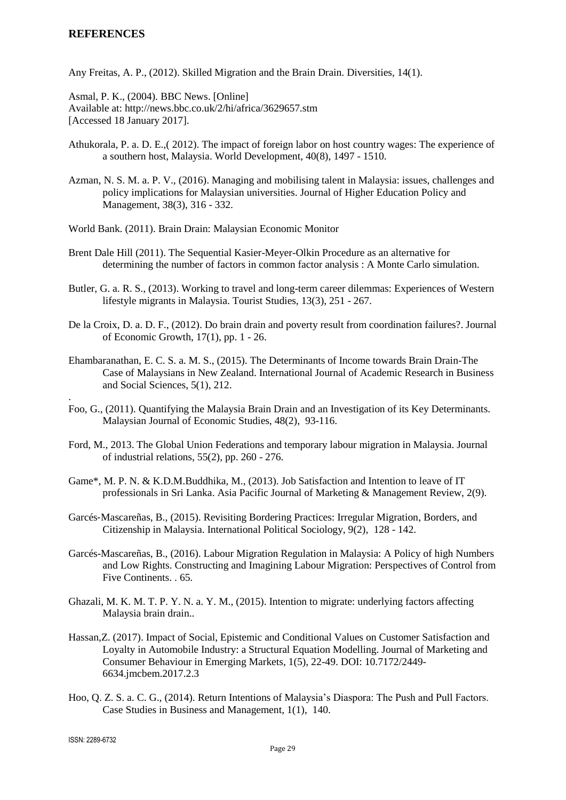#### **REFERENCES**

Any Freitas, A. P., (2012). Skilled Migration and the Brain Drain. Diversities, 14(1).

Asmal, P. K., (2004). BBC News. [Online] Available at: http://news.bbc.co.uk/2/hi/africa/3629657.stm [Accessed 18 January 2017].

- Athukorala, P. a. D. E.,( 2012). The impact of foreign labor on host country wages: The experience of a southern host, Malaysia. World Development, 40(8), 1497 - 1510.
- Azman, N. S. M. a. P. V., (2016). Managing and mobilising talent in Malaysia: issues, challenges and policy implications for Malaysian universities. Journal of Higher Education Policy and Management, 38(3), 316 - 332.
- World Bank. (2011). Brain Drain: Malaysian Economic Monitor
- Brent Dale Hill (2011). The Sequential Kasier-Meyer-Olkin Procedure as an alternative for determining the number of factors in common factor analysis : A Monte Carlo simulation.
- Butler, G. a. R. S., (2013). Working to travel and long-term career dilemmas: Experiences of Western lifestyle migrants in Malaysia. Tourist Studies, 13(3), 251 - 267.
- De la Croix, D. a. D. F., (2012). Do brain drain and poverty result from coordination failures?. Journal of Economic Growth, 17(1), pp. 1 - 26.
- Ehambaranathan, E. C. S. a. M. S., (2015). The Determinants of Income towards Brain Drain-The Case of Malaysians in New Zealand. International Journal of Academic Research in Business and Social Sciences, 5(1), 212.
- Foo, G., (2011). Quantifying the Malaysia Brain Drain and an Investigation of its Key Determinants. Malaysian Journal of Economic Studies, 48(2), 93-116.
- Ford, M., 2013. The Global Union Federations and temporary labour migration in Malaysia. Journal of industrial relations, 55(2), pp. 260 - 276.
- Game\*, M. P. N. & K.D.M.Buddhika, M., (2013). Job Satisfaction and Intention to leave of IT professionals in Sri Lanka. Asia Pacific Journal of Marketing & Management Review, 2(9).
- Garcés‐Mascareñas, B., (2015). Revisiting Bordering Practices: Irregular Migration, Borders, and Citizenship in Malaysia. International Political Sociology, 9(2), 128 - 142.
- Garcés-Mascareñas, B., (2016). Labour Migration Regulation in Malaysia: A Policy of high Numbers and Low Rights. Constructing and Imagining Labour Migration: Perspectives of Control from Five Continents. . 65.
- Ghazali, M. K. M. T. P. Y. N. a. Y. M., (2015). Intention to migrate: underlying factors affecting Malaysia brain drain..
- Hassan,Z. (2017). Impact of Social, Epistemic and Conditional Values on Customer Satisfaction and Loyalty in Automobile Industry: a Structural Equation Modelling. Journal of Marketing and Consumer Behaviour in Emerging Markets, 1(5), 22-49. DOI: 10.7172/2449- 6634.jmcbem.2017.2.3
- Hoo, Q. Z. S. a. C. G., (2014). Return Intentions of Malaysia's Diaspora: The Push and Pull Factors. Case Studies in Business and Management, 1(1), 140.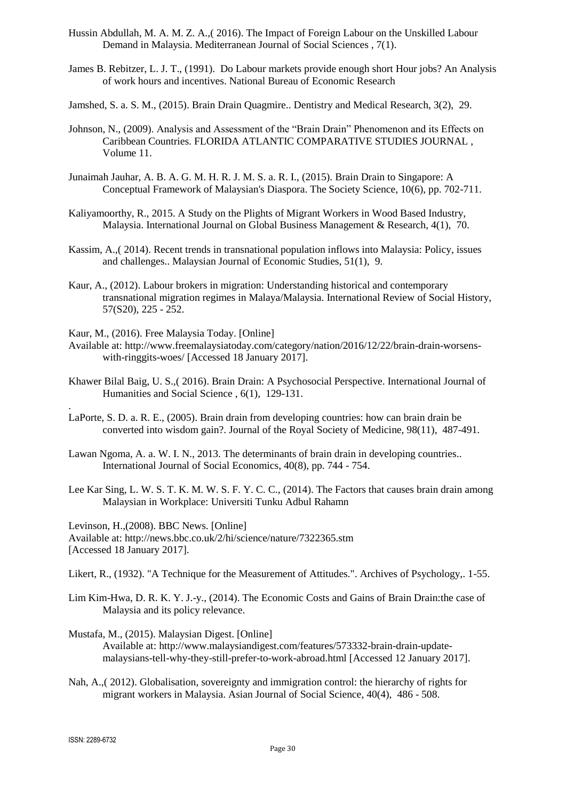- Hussin Abdullah, M. A. M. Z. A.,( 2016). The Impact of Foreign Labour on the Unskilled Labour Demand in Malaysia. Mediterranean Journal of Social Sciences , 7(1).
- James B. Rebitzer, L. J. T., (1991). Do Labour markets provide enough short Hour jobs? An Analysis of work hours and incentives. National Bureau of Economic Research
- Jamshed, S. a. S. M., (2015). Brain Drain Quagmire.. Dentistry and Medical Research, 3(2), 29.
- Johnson, N., (2009). Analysis and Assessment of the "Brain Drain" Phenomenon and its Effects on Caribbean Countries. FLORIDA ATLANTIC COMPARATIVE STUDIES JOURNAL , Volume 11.
- Junaimah Jauhar, A. B. A. G. M. H. R. J. M. S. a. R. I., (2015). Brain Drain to Singapore: A Conceptual Framework of Malaysian's Diaspora. The Society Science, 10(6), pp. 702-711.
- Kaliyamoorthy, R., 2015. A Study on the Plights of Migrant Workers in Wood Based Industry, Malaysia. International Journal on Global Business Management & Research,  $4(1)$ , 70.
- Kassim, A.,( 2014). Recent trends in transnational population inflows into Malaysia: Policy, issues and challenges.. Malaysian Journal of Economic Studies, 51(1), 9.
- Kaur, A., (2012). Labour brokers in migration: Understanding historical and contemporary transnational migration regimes in Malaya/Malaysia. International Review of Social History, 57(S20), 225 - 252.
- Kaur, M., (2016). Free Malaysia Today. [Online]
- Available at: [http://www.freemalaysiatoday.com/category/nation/2016/12/22/brain-drain-worsens](http://www.freemalaysiatoday.com/category/nation/2016/12/22/brain-drain-worsens-with-ringgits-woes/)[with-ringgits-woes/](http://www.freemalaysiatoday.com/category/nation/2016/12/22/brain-drain-worsens-with-ringgits-woes/) [Accessed 18 January 2017].
- Khawer Bilal Baig, U. S.,( 2016). Brain Drain: A Psychosocial Perspective. International Journal of Humanities and Social Science , 6(1), 129-131.
- LaPorte, S. D. a. R. E., (2005). Brain drain from developing countries: how can brain drain be converted into wisdom gain?. Journal of the Royal Society of Medicine, 98(11), 487-491.
- Lawan Ngoma, A. a. W. I. N., 2013. The determinants of brain drain in developing countries.. International Journal of Social Economics, 40(8), pp. 744 - 754.
- Lee Kar Sing, L. W. S. T. K. M. W. S. F. Y. C. C., (2014). The Factors that causes brain drain among Malaysian in Workplace: Universiti Tunku Adbul Rahamn

Levinson, H.,(2008). BBC News. [Online] Available at: http://news.bbc.co.uk/2/hi/science/nature/7322365.stm [Accessed 18 January 2017].

Likert, R., (1932). "A Technique for the Measurement of Attitudes.". Archives of Psychology,. 1-55.

- Lim Kim-Hwa, D. R. K. Y. J.-y., (2014). The Economic Costs and Gains of Brain Drain:the case of Malaysia and its policy relevance.
- Mustafa, M., (2015). Malaysian Digest. [Online] Available at: [http://www.malaysiandigest.com/features/573332-brain-drain-update](http://www.malaysiandigest.com/features/573332-brain-drain-update-malaysians-tell-why-they-still-prefer-to-work-abroad.html)[malaysians-tell-why-they-still-prefer-to-work-abroad.html](http://www.malaysiandigest.com/features/573332-brain-drain-update-malaysians-tell-why-they-still-prefer-to-work-abroad.html) [Accessed 12 January 2017].
- Nah, A.,( 2012). Globalisation, sovereignty and immigration control: the hierarchy of rights for migrant workers in Malaysia. Asian Journal of Social Science, 40(4), 486 - 508.